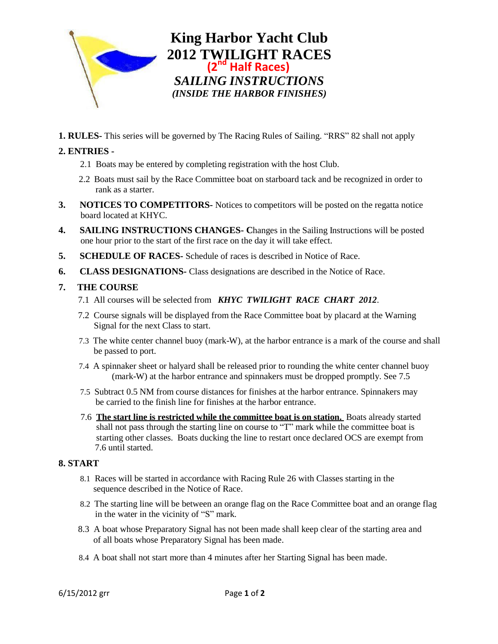

**King Harbor Yacht Club 2012 TWILIGHT RACES (2nd Half Races)** *SAILING INSTRUCTIONS (INSIDE THE HARBOR FINISHES)*

**1. RULES-** This series will be governed by The Racing Rules of Sailing. "RRS" 82 shall not apply

# **2. ENTRIES -**

- 2.1 Boats may be entered by completing registration with the host Club.
- 2.2 Boats must sail by the Race Committee boat on starboard tack and be recognized in order to rank as a starter.
- **3. NOTICES TO COMPETITORS-** Notices to competitors will be posted on the regatta notice board located at KHYC.
- **4. SAILING INSTRUCTIONS CHANGES- C**hanges in the Sailing Instructions will be posted one hour prior to the start of the first race on the day it will take effect.
- **5. SCHEDULE OF RACES-** Schedule of races is described in Notice of Race.
- **6. CLASS DESIGNATIONS-** Class designations are described in the Notice of Race.

### **7. THE COURSE**

- 7.1 All courses will be selected from *KHYC TWILIGHT RACE CHART 2012*.
- 7.2 Course signals will be displayed from the Race Committee boat by placard at the Warning Signal for the next Class to start.
- 7.3 The white center channel buoy (mark-W), at the harbor entrance is a mark of the course and shall be passed to port.
- 7.4 A spinnaker sheet or halyard shall be released prior to rounding the white center channel buoy (mark-W) at the harbor entrance and spinnakers must be dropped promptly. See 7.5
- 7.5 Subtract 0.5 NM from course distances for finishes at the harbor entrance. Spinnakers may be carried to the finish line for finishes at the harbor entrance.
- 7.6 **The start line is restricted while the committee boat is on station.** Boats already started shall not pass through the starting line on course to "T" mark while the committee boat is starting other classes. Boats ducking the line to restart once declared OCS are exempt from 7.6 until started.

### **8. START**

- 8.1 Races will be started in accordance with Racing Rule 26 with Classes starting in the sequence described in the Notice of Race.
- 8.2 The starting line will be between an orange flag on the Race Committee boat and an orange flag in the water in the vicinity of "S" mark.
- 8.3 A boat whose Preparatory Signal has not been made shall keep clear of the starting area and of all boats whose Preparatory Signal has been made.
- 8.4 A boat shall not start more than 4 minutes after her Starting Signal has been made.